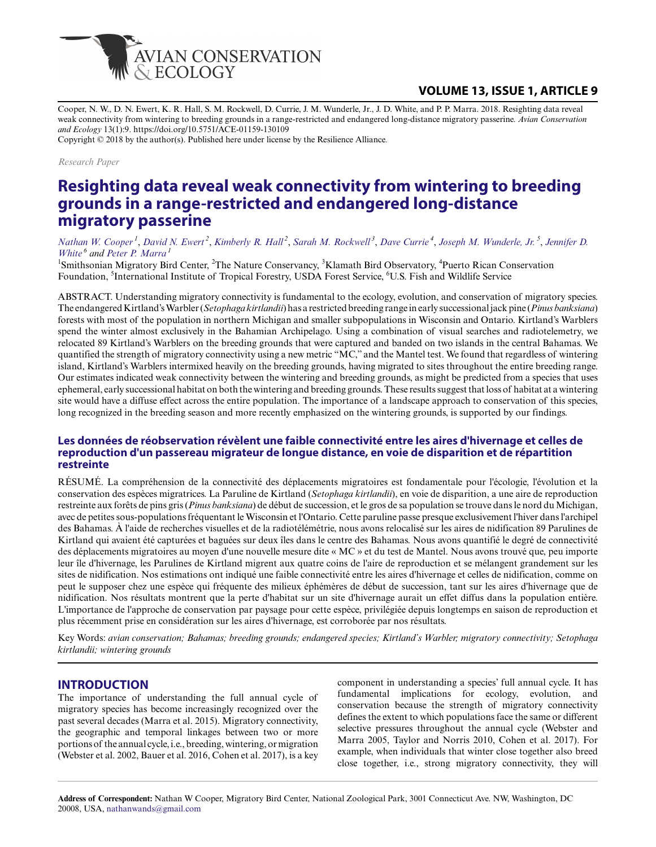

# **VOLUME 13, ISSUE 1, ARTICLE 9**

Cooper, N. W., D. N. Ewert, K. R. Hall, S. M. Rockwell, D. Currie, J. M. Wunderle, Jr., J. D. White, and P. P. Marra. 2018. Resighting data reveal weak connectivity from wintering to breeding grounds in a range-restricted and endangered long-distance migratory passerine. *Avian Conservation and Ecology* 13(1):9. https://doi.org/10.5751/ACE-01159-130109

Copyright © 2018 by the author(s). Published here under license by the Resilience Alliance.

*Research Paper*

# **Resighting data reveal weak connectivity from wintering to breeding grounds in a range-restricted and endangered long-distance migratory passerine**

*[Nathan W. Cooper](mailto:nathanwands@gmail.com)<sup>1</sup>* , *[David N. Ewert](mailto:dewert@TNC.ORG)<sup>2</sup>* , *[Kimberly R. Hall](mailto:kimberly.hall@TNC.ORG)<sup>2</sup>* , *[Sarah M. Rockwell](mailto:smr@klamathbird.org)<sup>3</sup>* , *[Dave Currie](mailto:davecurrie666@hotmail.com)<sup>4</sup>* , *[Joseph M. Wunderle, Jr.](mailto:jmwunderle@gmail.com)<sup>5</sup>* , *[Jennifer D.](mailto:jennifer_white@fws.gov) [White](mailto:jennifer_white@fws.gov)<sup>6</sup> and [Peter P. Marra](mailto:marrap@si.edu)<sup>1</sup>*

<sup>1</sup>Smithsonian Migratory Bird Center, <sup>2</sup>The Nature Conservancy, <sup>3</sup>Klamath Bird Observatory, <sup>4</sup>Puerto Rican Conservation Foundation, <sup>5</sup>International Institute of Tropical Forestry, USDA Forest Service, <sup>6</sup>U.S. Fish and Wildlife Service

ABSTRACT. Understanding migratory connectivity is fundamental to the ecology, evolution, and conservation of migratory species. The endangered Kirtland's Warbler (*Setophaga kirtlandii*) has a restricted breeding range in early successional jack pine (*Pinus banksiana*) forests with most of the population in northern Michigan and smaller subpopulations in Wisconsin and Ontario. Kirtland's Warblers spend the winter almost exclusively in the Bahamian Archipelago. Using a combination of visual searches and radiotelemetry, we relocated 89 Kirtland's Warblers on the breeding grounds that were captured and banded on two islands in the central Bahamas. We quantified the strength of migratory connectivity using a new metric "MC," and the Mantel test. We found that regardless of wintering island, Kirtland's Warblers intermixed heavily on the breeding grounds, having migrated to sites throughout the entire breeding range. Our estimates indicated weak connectivity between the wintering and breeding grounds, as might be predicted from a species that uses ephemeral, early successional habitat on both the wintering and breeding grounds. These results suggest that loss of habitat at a wintering site would have a diffuse effect across the entire population. The importance of a landscape approach to conservation of this species, long recognized in the breeding season and more recently emphasized on the wintering grounds, is supported by our findings.

#### **Les données de réobservation révèlent une faible connectivité entre les aires d'hivernage et celles de reproduction d'un passereau migrateur de longue distance, en voie de disparition et de répartition restreinte**

RÉSUMÉ. La compréhension de la connectivité des déplacements migratoires est fondamentale pour l'écologie, l'évolution et la conservation des espèces migratrices. La Paruline de Kirtland (*Setophaga kirtlandii*), en voie de disparition, a une aire de reproduction restreinte aux forêts de pins gris (*Pinus banksiana*) de début de succession, et le gros de sa population se trouve dans le nord du Michigan, avec de petites sous-populations fréquentant le Wisconsin et l'Ontario. Cette paruline passe presque exclusivement l'hiver dans l'archipel des Bahamas. À l'aide de recherches visuelles et de la radiotélémétrie, nous avons relocalisé sur les aires de nidification 89 Parulines de Kirtland qui avaient été capturées et baguées sur deux îles dans le centre des Bahamas. Nous avons quantifié le degré de connectivité des déplacements migratoires au moyen d'une nouvelle mesure dite « MC » et du test de Mantel. Nous avons trouvé que, peu importe leur île d'hivernage, les Parulines de Kirtland migrent aux quatre coins de l'aire de reproduction et se mélangent grandement sur les sites de nidification. Nos estimations ont indiqué une faible connectivité entre les aires d'hivernage et celles de nidification, comme on peut le supposer chez une espèce qui fréquente des milieux éphémères de début de succession, tant sur les aires d'hivernage que de nidification. Nos résultats montrent que la perte d'habitat sur un site d'hivernage aurait un effet diffus dans la population entière. L'importance de l'approche de conservation par paysage pour cette espèce, privilégiée depuis longtemps en saison de reproduction et plus récemment prise en considération sur les aires d'hivernage, est corroborée par nos résultats.

Key Words: *avian conservation; Bahamas; breeding grounds; endangered species; Kirtland's Warbler; migratory connectivity; Setophaga kirtlandii; wintering grounds*

#### **INTRODUCTION**

The importance of understanding the full annual cycle of migratory species has become increasingly recognized over the past several decades (Marra et al. 2015). Migratory connectivity, the geographic and temporal linkages between two or more portions of the annual cycle, i.e., breeding, wintering, or migration (Webster et al. 2002, Bauer et al. 2016, Cohen et al. 2017), is a key

component in understanding a species' full annual cycle. It has fundamental implications for ecology, evolution, and conservation because the strength of migratory connectivity defines the extent to which populations face the same or different selective pressures throughout the annual cycle (Webster and Marra 2005, Taylor and Norris 2010, Cohen et al. 2017). For example, when individuals that winter close together also breed close together, i.e., strong migratory connectivity, they will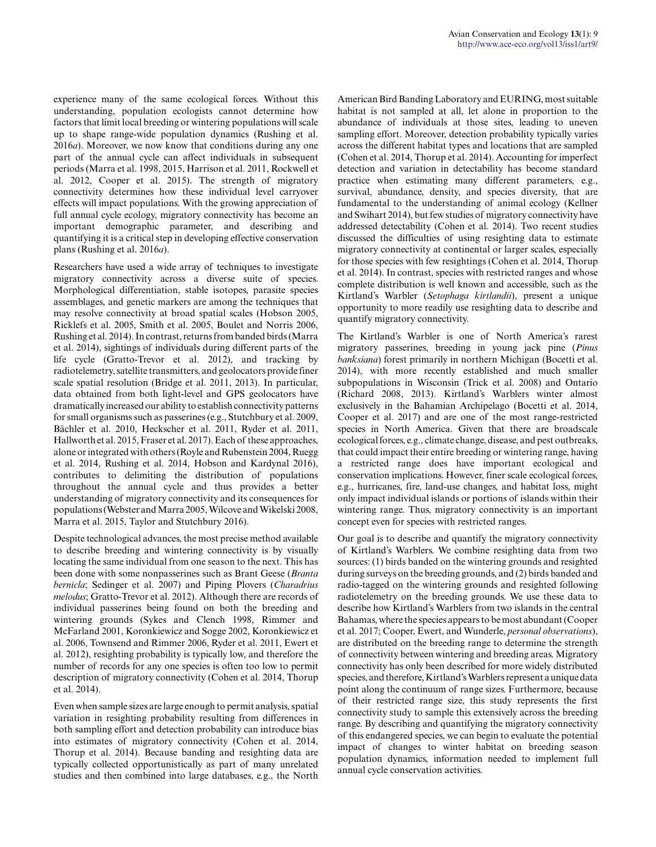experience many of the same ecological forces. Without this understanding, population ecologists cannot determine how factors that limit local breeding or wintering populations will scale up to shape range-wide population dynamics (Rushing et al. 2016*a*). Moreover, we now know that conditions during any one part of the annual cycle can affect individuals in subsequent periods (Marra et al. 1998, 2015, Harrison et al. 2011, Rockwell et al. 2012, Cooper et al. 2015). The strength of migratory connectivity determines how these individual level carryover effects will impact populations. With the growing appreciation of full annual cycle ecology, migratory connectivity has become an important demographic parameter, and describing and quantifying it is a critical step in developing effective conservation plans (Rushing et al. 2016*a*).

Researchers have used a wide array of techniques to investigate migratory connectivity across a diverse suite of species. Morphological differentiation, stable isotopes, parasite species assemblages, and genetic markers are among the techniques that may resolve connectivity at broad spatial scales (Hobson 2005, Ricklefs et al. 2005, Smith et al. 2005, Boulet and Norris 2006, Rushing et al. 2014). In contrast, returns from banded birds (Marra et al. 2014), sightings of individuals during different parts of the life cycle (Gratto-Trevor et al. 2012), and tracking by radiotelemetry, satellite transmitters, and geolocators provide finer scale spatial resolution (Bridge et al. 2011, 2013). In particular, data obtained from both light-level and GPS geolocators have dramatically increased our ability to establish connectivity patterns for small organisms such as passerines (e.g., Stutchbury et al. 2009, Bächler et al. 2010, Heckscher et al. 2011, Ryder et al. 2011, Hallworth et al. 2015, Fraser et al. 2017). Each of these approaches, alone or integrated with others (Royle and Rubenstein 2004, Ruegg et al. 2014, Rushing et al. 2014, Hobson and Kardynal 2016), contributes to delimiting the distribution of populations throughout the annual cycle and thus provides a better understanding of migratory connectivity and its consequences for populations (Webster and Marra 2005, Wilcove and Wikelski 2008, Marra et al. 2015, Taylor and Stutchbury 2016).

Despite technological advances, the most precise method available to describe breeding and wintering connectivity is by visually locating the same individual from one season to the next. This has been done with some nonpasserines such as Brant Geese (*Branta bernicla*; Sedinger et al. 2007) and Piping Plovers (*Charadrius melodus*; Gratto-Trevor et al. 2012). Although there are records of individual passerines being found on both the breeding and wintering grounds (Sykes and Clench 1998, Rimmer and McFarland 2001, Koronkiewicz and Sogge 2002, Koronkiewicz et al. 2006, Townsend and Rimmer 2006, Ryder et al. 2011, Ewert et al. 2012), resighting probability is typically low, and therefore the number of records for any one species is often too low to permit description of migratory connectivity (Cohen et al. 2014, Thorup et al. 2014).

Even when sample sizes are large enough to permit analysis, spatial variation in resighting probability resulting from differences in both sampling effort and detection probability can introduce bias into estimates of migratory connectivity (Cohen et al. 2014, Thorup et al. 2014). Because banding and resighting data are typically collected opportunistically as part of many unrelated studies and then combined into large databases, e.g., the North American Bird Banding Laboratory and EURING, most suitable habitat is not sampled at all, let alone in proportion to the abundance of individuals at those sites, leading to uneven sampling effort. Moreover, detection probability typically varies across the different habitat types and locations that are sampled (Cohen et al. 2014, Thorup et al. 2014). Accounting for imperfect detection and variation in detectability has become standard practice when estimating many different parameters, e.g., survival, abundance, density, and species diversity, that are fundamental to the understanding of animal ecology (Kellner and Swihart 2014), but few studies of migratory connectivity have addressed detectability (Cohen et al. 2014). Two recent studies discussed the difficulties of using resighting data to estimate migratory connectivity at continental or larger scales, especially for those species with few resightings (Cohen et al. 2014, Thorup et al. 2014). In contrast, species with restricted ranges and whose complete distribution is well known and accessible, such as the Kirtland's Warbler (*Setophaga kirtlandii*), present a unique opportunity to more readily use resighting data to describe and quantify migratory connectivity.

The Kirtland's Warbler is one of North America's rarest migratory passerines, breeding in young jack pine (*Pinus banksiana*) forest primarily in northern Michigan (Bocetti et al. 2014), with more recently established and much smaller subpopulations in Wisconsin (Trick et al. 2008) and Ontario (Richard 2008, 2013). Kirtland's Warblers winter almost exclusively in the Bahamian Archipelago (Bocetti et al. 2014, Cooper et al. 2017) and are one of the most range-restricted species in North America. Given that there are broadscale ecological forces, e.g., climate change, disease, and pest outbreaks, that could impact their entire breeding or wintering range, having a restricted range does have important ecological and conservation implications. However, finer scale ecological forces, e.g., hurricanes, fire, land-use changes, and habitat loss, might only impact individual islands or portions of islands within their wintering range. Thus, migratory connectivity is an important concept even for species with restricted ranges.

Our goal is to describe and quantify the migratory connectivity of Kirtland's Warblers. We combine resighting data from two sources: (1) birds banded on the wintering grounds and resighted during surveys on the breeding grounds, and (2) birds banded and radio-tagged on the wintering grounds and resighted following radiotelemetry on the breeding grounds. We use these data to describe how Kirtland's Warblers from two islands in the central Bahamas, where the species appears to be most abundant (Cooper et al. 2017; Cooper, Ewert, and Wunderle, *personal observations*), are distributed on the breeding range to determine the strength of connectivity between wintering and breeding areas. Migratory connectivity has only been described for more widely distributed species, and therefore, Kirtland's Warblers represent a unique data point along the continuum of range sizes. Furthermore, because of their restricted range size, this study represents the first connectivity study to sample this extensively across the breeding range. By describing and quantifying the migratory connectivity of this endangered species, we can begin to evaluate the potential impact of changes to winter habitat on breeding season population dynamics, information needed to implement full annual cycle conservation activities.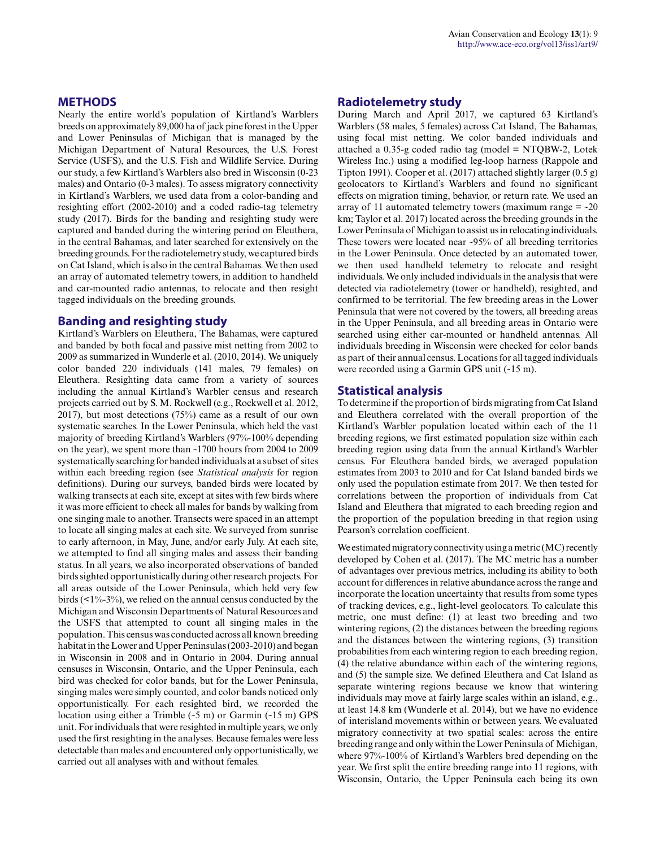#### **METHODS**

Nearly the entire world's population of Kirtland's Warblers breeds on approximately 89,000 ha of jack pine forest in the Upper and Lower Peninsulas of Michigan that is managed by the Michigan Department of Natural Resources, the U.S. Forest Service (USFS), and the U.S. Fish and Wildlife Service. During our study, a few Kirtland's Warblers also bred in Wisconsin (0-23 males) and Ontario (0-3 males). To assess migratory connectivity in Kirtland's Warblers, we used data from a color-banding and resighting effort (2002-2010) and a coded radio-tag telemetry study (2017). Birds for the banding and resighting study were captured and banded during the wintering period on Eleuthera, in the central Bahamas, and later searched for extensively on the breeding grounds. For the radiotelemetry study, we captured birds on Cat Island, which is also in the central Bahamas. We then used an array of automated telemetry towers, in addition to handheld and car-mounted radio antennas, to relocate and then resight tagged individuals on the breeding grounds.

#### **Banding and resighting study**

Kirtland's Warblers on Eleuthera, The Bahamas, were captured and banded by both focal and passive mist netting from 2002 to 2009 as summarized in Wunderle et al. (2010, 2014). We uniquely color banded 220 individuals (141 males, 79 females) on Eleuthera. Resighting data came from a variety of sources including the annual Kirtland's Warbler census and research projects carried out by S. M. Rockwell (e.g., Rockwell et al. 2012, 2017), but most detections (75%) came as a result of our own systematic searches. In the Lower Peninsula, which held the vast majority of breeding Kirtland's Warblers (97%-100% depending on the year), we spent more than ∼1700 hours from 2004 to 2009 systematically searching for banded individuals at a subset of sites within each breeding region (see *Statistical analysis* for region definitions). During our surveys, banded birds were located by walking transects at each site, except at sites with few birds where it was more efficient to check all males for bands by walking from one singing male to another. Transects were spaced in an attempt to locate all singing males at each site. We surveyed from sunrise to early afternoon, in May, June, and/or early July. At each site, we attempted to find all singing males and assess their banding status. In all years, we also incorporated observations of banded birds sighted opportunistically during other research projects. For all areas outside of the Lower Peninsula, which held very few birds  $($  < 1%-3%), we relied on the annual census conducted by the Michigan and Wisconsin Departments of Natural Resources and the USFS that attempted to count all singing males in the population. This census was conducted across all known breeding habitat in the Lower and Upper Peninsulas (2003-2010) and began in Wisconsin in 2008 and in Ontario in 2004. During annual censuses in Wisconsin, Ontario, and the Upper Peninsula, each bird was checked for color bands, but for the Lower Peninsula, singing males were simply counted, and color bands noticed only opportunistically. For each resighted bird, we recorded the location using either a Trimble (∼5 m) or Garmin (∼15 m) GPS unit. For individuals that were resighted in multiple years, we only used the first resighting in the analyses. Because females were less detectable than males and encountered only opportunistically, we carried out all analyses with and without females.

#### **Radiotelemetry study**

During March and April 2017, we captured 63 Kirtland's Warblers (58 males, 5 females) across Cat Island, The Bahamas, using focal mist netting. We color banded individuals and attached a 0.35-g coded radio tag (model = NTQBW-2, Lotek Wireless Inc.) using a modified leg-loop harness (Rappole and Tipton 1991). Cooper et al. (2017) attached slightly larger (0.5 g) geolocators to Kirtland's Warblers and found no significant effects on migration timing, behavior, or return rate. We used an array of 11 automated telemetry towers (maximum range = ∼20 km; Taylor et al. 2017) located across the breeding grounds in the Lower Peninsula of Michigan to assist us in relocating individuals. These towers were located near ∼95% of all breeding territories in the Lower Peninsula. Once detected by an automated tower, we then used handheld telemetry to relocate and resight individuals. We only included individuals in the analysis that were detected via radiotelemetry (tower or handheld), resighted, and confirmed to be territorial. The few breeding areas in the Lower Peninsula that were not covered by the towers, all breeding areas in the Upper Peninsula, and all breeding areas in Ontario were searched using either car-mounted or handheld antennas. All individuals breeding in Wisconsin were checked for color bands as part of their annual census. Locations for all tagged individuals were recorded using a Garmin GPS unit (∼15 m).

#### **Statistical analysis**

To determine if the proportion of birds migrating from Cat Island and Eleuthera correlated with the overall proportion of the Kirtland's Warbler population located within each of the 11 breeding regions, we first estimated population size within each breeding region using data from the annual Kirtland's Warbler census. For Eleuthera banded birds, we averaged population estimates from 2003 to 2010 and for Cat Island banded birds we only used the population estimate from 2017. We then tested for correlations between the proportion of individuals from Cat Island and Eleuthera that migrated to each breeding region and the proportion of the population breeding in that region using Pearson's correlation coefficient.

We estimated migratory connectivity using a metric (MC) recently developed by Cohen et al. (2017). The MC metric has a number of advantages over previous metrics, including its ability to both account for differences in relative abundance across the range and incorporate the location uncertainty that results from some types of tracking devices, e.g., light-level geolocators. To calculate this metric, one must define: (1) at least two breeding and two wintering regions, (2) the distances between the breeding regions and the distances between the wintering regions, (3) transition probabilities from each wintering region to each breeding region, (4) the relative abundance within each of the wintering regions, and (5) the sample size. We defined Eleuthera and Cat Island as separate wintering regions because we know that wintering individuals may move at fairly large scales within an island, e.g., at least 14.8 km (Wunderle et al. 2014), but we have no evidence of interisland movements within or between years. We evaluated migratory connectivity at two spatial scales: across the entire breeding range and only within the Lower Peninsula of Michigan, where 97%-100% of Kirtland's Warblers bred depending on the year. We first split the entire breeding range into 11 regions, with Wisconsin, Ontario, the Upper Peninsula each being its own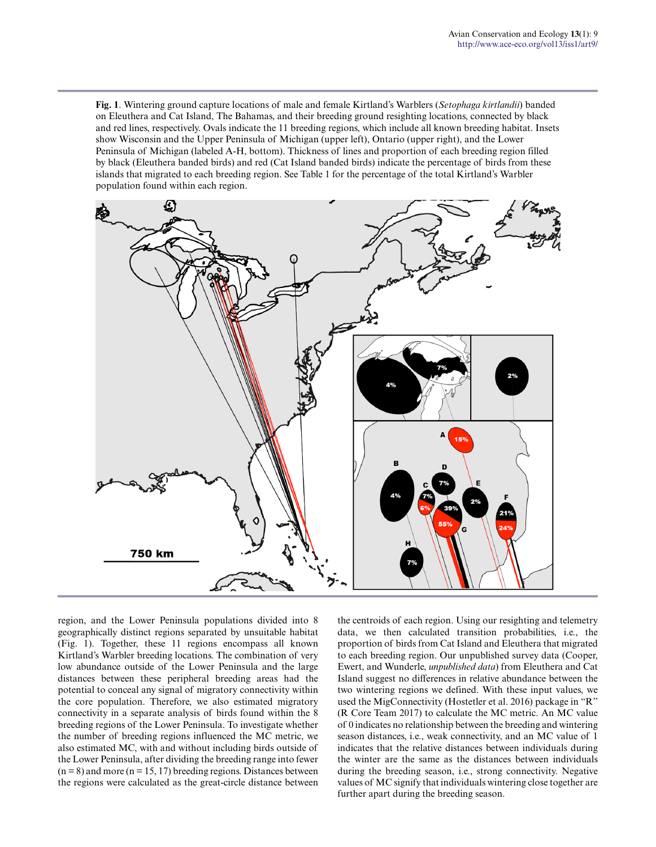**Fig. 1**. Wintering ground capture locations of male and female Kirtland's Warblers (*Setophaga kirtlandii*) banded on Eleuthera and Cat Island, The Bahamas, and their breeding ground resighting locations, connected by black and red lines, respectively. Ovals indicate the 11 breeding regions, which include all known breeding habitat. Insets show Wisconsin and the Upper Peninsula of Michigan (upper left), Ontario (upper right), and the Lower Peninsula of Michigan (labeled A-H, bottom). Thickness of lines and proportion of each breeding region filled by black (Eleuthera banded birds) and red (Cat Island banded birds) indicate the percentage of birds from these islands that migrated to each breeding region. See Table 1 for the percentage of the total Kirtland's Warbler population found within each region.



region, and the Lower Peninsula populations divided into 8 geographically distinct regions separated by unsuitable habitat (Fig. 1). Together, these 11 regions encompass all known Kirtland's Warbler breeding locations. The combination of very low abundance outside of the Lower Peninsula and the large distances between these peripheral breeding areas had the potential to conceal any signal of migratory connectivity within the core population. Therefore, we also estimated migratory connectivity in a separate analysis of birds found within the 8 breeding regions of the Lower Peninsula. To investigate whether the number of breeding regions influenced the MC metric, we also estimated MC, with and without including birds outside of the Lower Peninsula, after dividing the breeding range into fewer  $(n = 8)$  and more  $(n = 15, 17)$  breeding regions. Distances between the regions were calculated as the great-circle distance between the centroids of each region. Using our resighting and telemetry data, we then calculated transition probabilities, i.e., the proportion of birds from Cat Island and Eleuthera that migrated to each breeding region. Our unpublished survey data (Cooper, Ewert, and Wunderle, *unpublished data*) from Eleuthera and Cat Island suggest no differences in relative abundance between the two wintering regions we defined. With these input values, we used the MigConnectivity (Hostetler et al. 2016) package in "R" (R Core Team 2017) to calculate the MC metric. An MC value of 0 indicates no relationship between the breeding and wintering season distances, i.e., weak connectivity, and an MC value of 1 indicates that the relative distances between individuals during the winter are the same as the distances between individuals during the breeding season, i.e., strong connectivity. Negative values of MC signify that individuals wintering close together are further apart during the breeding season.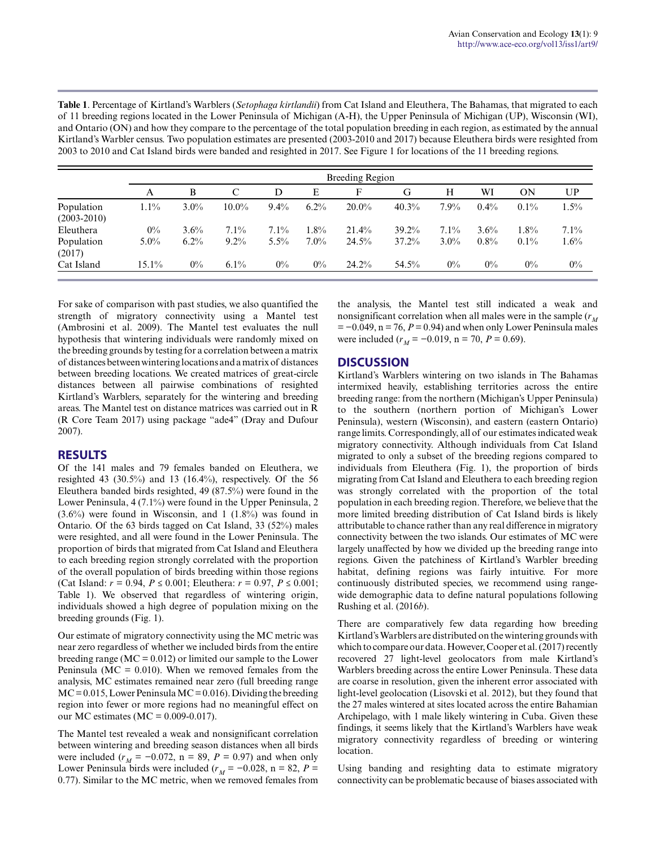| Table 1. Percentage of Kirtland's Warblers (Setophaga kirtlandii) from Cat Island and Eleuthera, The Bahamas, that migrated to each |
|-------------------------------------------------------------------------------------------------------------------------------------|
| of 11 breeding regions located in the Lower Peninsula of Michigan (A-H), the Upper Peninsula of Michigan (UP), Wisconsin (WI),      |
| and Ontario (ON) and how they compare to the percentage of the total population breeding in each region, as estimated by the annual |
| Kirtland's Warbler census. Two population estimates are presented (2003-2010 and 2017) because Eleuthera birds were resighted from  |
| 2003 to 2010 and Cat Island birds were banded and resighted in 2017. See Figure 1 for locations of the 11 breeding regions.         |

|                               | Breeding Region |         |          |         |         |          |          |         |       |         |         |
|-------------------------------|-----------------|---------|----------|---------|---------|----------|----------|---------|-------|---------|---------|
|                               |                 | B       |          | D       | E       | F        | G        | H       | WI    | ON      | UP      |
| Population<br>$(2003 - 2010)$ | $1.1\%$         | $3.0\%$ | $10.0\%$ | $9.4\%$ | 6.2%    | $20.0\%$ | $40.3\%$ | $7.9\%$ | 0.4%  | $0.1\%$ | $1.5\%$ |
| Eleuthera                     | $0\%$           | 3.6%    | $7.1\%$  | $7.1\%$ | $1.8\%$ | 21.4%    | $39.2\%$ | $7.1\%$ | 3.6%  | $1.8\%$ | $7.1\%$ |
| Population<br>(2017)          | $5.0\%$         | 6.2%    | $9.2\%$  | $5.5\%$ | $7.0\%$ | 24.5%    | $37.2\%$ | $3.0\%$ | 0.8%  | $0.1\%$ | $1.6\%$ |
| Cat Island                    | $15.1\%$        | $0\%$   | $6.1\%$  | $0\%$   | $0\%$   | 24.2%    | 54.5%    | $0\%$   | $0\%$ | $0\%$   | $0\%$   |

For sake of comparison with past studies, we also quantified the strength of migratory connectivity using a Mantel test (Ambrosini et al. 2009). The Mantel test evaluates the null hypothesis that wintering individuals were randomly mixed on the breeding grounds by testing for a correlation between a matrix of distances between wintering locations and a matrix of distances between breeding locations. We created matrices of great-circle distances between all pairwise combinations of resighted Kirtland's Warblers, separately for the wintering and breeding areas. The Mantel test on distance matrices was carried out in R (R Core Team 2017) using package "ade4" (Dray and Dufour 2007).

#### **RESULTS**

Of the 141 males and 79 females banded on Eleuthera, we resighted 43  $(30.5\%)$  and 13  $(16.4\%)$ , respectively. Of the 56 Eleuthera banded birds resighted, 49 (87.5%) were found in the Lower Peninsula, 4 (7.1%) were found in the Upper Peninsula, 2  $(3.6\%)$  were found in Wisconsin, and 1  $(1.8\%)$  was found in Ontario. Of the 63 birds tagged on Cat Island, 33 (52%) males were resighted, and all were found in the Lower Peninsula. The proportion of birds that migrated from Cat Island and Eleuthera to each breeding region strongly correlated with the proportion of the overall population of birds breeding within those regions (Cat Island:  $r = 0.94$ ,  $P \le 0.001$ ; Eleuthera:  $r = 0.97$ ,  $P \le 0.001$ ; Table 1). We observed that regardless of wintering origin, individuals showed a high degree of population mixing on the breeding grounds (Fig. 1).

Our estimate of migratory connectivity using the MC metric was near zero regardless of whether we included birds from the entire breeding range ( $MC = 0.012$ ) or limited our sample to the Lower Peninsula ( $MC = 0.010$ ). When we removed females from the analysis, MC estimates remained near zero (full breeding range  $MC = 0.015$ , Lower Peninsula  $MC = 0.016$ ). Dividing the breeding region into fewer or more regions had no meaningful effect on our MC estimates (MC = 0.009-0.017).

The Mantel test revealed a weak and nonsignificant correlation between wintering and breeding season distances when all birds were included ( $r_M = -0.072$ ,  $n = 89$ ,  $P = 0.97$ ) and when only Lower Peninsula birds were included ( $r_M$  = -0.028, n = 82, P = 0.77). Similar to the MC metric, when we removed females from

the analysis, the Mantel test still indicated a weak and nonsignificant correlation when all males were in the sample  $(r<sub>M</sub>)$ = −0.049, n = 76, *P* = 0.94) and when only Lower Peninsula males were included  $(r_M = -0.019, n = 70, P = 0.69)$ .

### **DISCUSSION**

Kirtland's Warblers wintering on two islands in The Bahamas intermixed heavily, establishing territories across the entire breeding range: from the northern (Michigan's Upper Peninsula) to the southern (northern portion of Michigan's Lower Peninsula), western (Wisconsin), and eastern (eastern Ontario) range limits. Correspondingly, all of our estimates indicated weak migratory connectivity. Although individuals from Cat Island migrated to only a subset of the breeding regions compared to individuals from Eleuthera (Fig. 1), the proportion of birds migrating from Cat Island and Eleuthera to each breeding region was strongly correlated with the proportion of the total population in each breeding region. Therefore, we believe that the more limited breeding distribution of Cat Island birds is likely attributable to chance rather than any real difference in migratory connectivity between the two islands. Our estimates of MC were largely unaffected by how we divided up the breeding range into regions. Given the patchiness of Kirtland's Warbler breeding habitat, defining regions was fairly intuitive. For more continuously distributed species, we recommend using rangewide demographic data to define natural populations following Rushing et al. (2016*b*).

There are comparatively few data regarding how breeding Kirtland's Warblers are distributed on the wintering grounds with which to compare our data. However, Cooper et al. (2017) recently recovered 27 light-level geolocators from male Kirtland's Warblers breeding across the entire Lower Peninsula. These data are coarse in resolution, given the inherent error associated with light-level geolocation (Lisovski et al. 2012), but they found that the 27 males wintered at sites located across the entire Bahamian Archipelago, with 1 male likely wintering in Cuba. Given these findings, it seems likely that the Kirtland's Warblers have weak migratory connectivity regardless of breeding or wintering location.

Using banding and resighting data to estimate migratory connectivity can be problematic because of biases associated with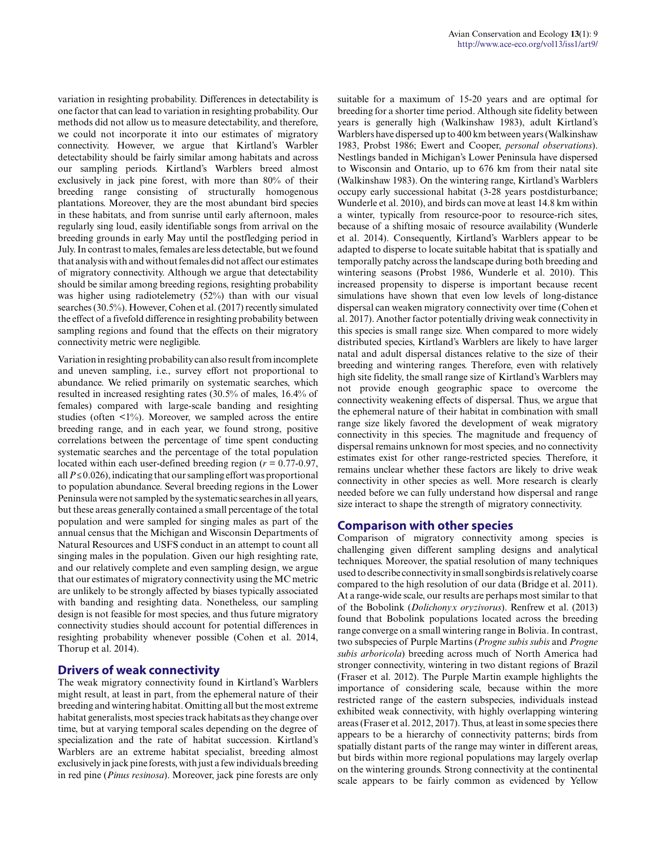variation in resighting probability. Differences in detectability is one factor that can lead to variation in resighting probability. Our methods did not allow us to measure detectability, and therefore, we could not incorporate it into our estimates of migratory connectivity. However, we argue that Kirtland's Warbler detectability should be fairly similar among habitats and across our sampling periods. Kirtland's Warblers breed almost exclusively in jack pine forest, with more than 80% of their breeding range consisting of structurally homogenous plantations. Moreover, they are the most abundant bird species in these habitats, and from sunrise until early afternoon, males regularly sing loud, easily identifiable songs from arrival on the breeding grounds in early May until the postfledging period in July. In contrast to males, females are less detectable, but we found that analysis with and without females did not affect our estimates of migratory connectivity. Although we argue that detectability should be similar among breeding regions, resighting probability was higher using radiotelemetry (52%) than with our visual searches (30.5%). However, Cohen et al. (2017) recently simulated the effect of a fivefold difference in resighting probability between sampling regions and found that the effects on their migratory connectivity metric were negligible.

Variation in resighting probability can also result from incomplete and uneven sampling, i.e., survey effort not proportional to abundance. We relied primarily on systematic searches, which resulted in increased resighting rates (30.5% of males, 16.4% of females) compared with large-scale banding and resighting studies (often  $\langle 1\% \rangle$ ). Moreover, we sampled across the entire breeding range, and in each year, we found strong, positive correlations between the percentage of time spent conducting systematic searches and the percentage of the total population located within each user-defined breeding region  $(r = 0.77 - 0.97)$ , all  $P \le 0.026$ ), indicating that our sampling effort was proportional to population abundance. Several breeding regions in the Lower Peninsula were not sampled by the systematic searches in all years, but these areas generally contained a small percentage of the total population and were sampled for singing males as part of the annual census that the Michigan and Wisconsin Departments of Natural Resources and USFS conduct in an attempt to count all singing males in the population. Given our high resighting rate, and our relatively complete and even sampling design, we argue that our estimates of migratory connectivity using the MC metric are unlikely to be strongly affected by biases typically associated with banding and resighting data. Nonetheless, our sampling design is not feasible for most species, and thus future migratory connectivity studies should account for potential differences in resighting probability whenever possible (Cohen et al. 2014, Thorup et al. 2014).

# **Drivers of weak connectivity**

The weak migratory connectivity found in Kirtland's Warblers might result, at least in part, from the ephemeral nature of their breeding and wintering habitat. Omitting all but the most extreme habitat generalists, most species track habitats as they change over time, but at varying temporal scales depending on the degree of specialization and the rate of habitat succession. Kirtland's Warblers are an extreme habitat specialist, breeding almost exclusively in jack pine forests, with just a few individuals breeding in red pine (*Pinus resinosa*). Moreover, jack pine forests are only

suitable for a maximum of 15-20 years and are optimal for breeding for a shorter time period. Although site fidelity between years is generally high (Walkinshaw 1983), adult Kirtland's Warblers have dispersed up to 400 km between years (Walkinshaw 1983, Probst 1986; Ewert and Cooper, *personal observations*). Nestlings banded in Michigan's Lower Peninsula have dispersed to Wisconsin and Ontario, up to 676 km from their natal site (Walkinshaw 1983). On the wintering range, Kirtland's Warblers occupy early successional habitat (3-28 years postdisturbance; Wunderle et al. 2010), and birds can move at least 14.8 km within a winter, typically from resource-poor to resource-rich sites, because of a shifting mosaic of resource availability (Wunderle et al. 2014). Consequently, Kirtland's Warblers appear to be adapted to disperse to locate suitable habitat that is spatially and temporally patchy across the landscape during both breeding and wintering seasons (Probst 1986, Wunderle et al. 2010). This increased propensity to disperse is important because recent simulations have shown that even low levels of long-distance dispersal can weaken migratory connectivity over time (Cohen et al. 2017). Another factor potentially driving weak connectivity in this species is small range size. When compared to more widely distributed species, Kirtland's Warblers are likely to have larger natal and adult dispersal distances relative to the size of their breeding and wintering ranges. Therefore, even with relatively high site fidelity, the small range size of Kirtland's Warblers may not provide enough geographic space to overcome the connectivity weakening effects of dispersal. Thus, we argue that the ephemeral nature of their habitat in combination with small range size likely favored the development of weak migratory connectivity in this species. The magnitude and frequency of dispersal remains unknown for most species, and no connectivity estimates exist for other range-restricted species. Therefore, it remains unclear whether these factors are likely to drive weak connectivity in other species as well. More research is clearly needed before we can fully understand how dispersal and range size interact to shape the strength of migratory connectivity.

#### **Comparison with other species**

Comparison of migratory connectivity among species is challenging given different sampling designs and analytical techniques. Moreover, the spatial resolution of many techniques used to describe connectivity in small songbirds is relatively coarse compared to the high resolution of our data (Bridge et al. 2011). At a range-wide scale, our results are perhaps most similar to that of the Bobolink (*Dolichonyx oryzivorus*). Renfrew et al. (2013) found that Bobolink populations located across the breeding range converge on a small wintering range in Bolivia. In contrast, two subspecies of Purple Martins (*Progne subis subis* and *Progne subis arboricola*) breeding across much of North America had stronger connectivity, wintering in two distant regions of Brazil (Fraser et al. 2012). The Purple Martin example highlights the importance of considering scale, because within the more restricted range of the eastern subspecies, individuals instead exhibited weak connectivity, with highly overlapping wintering areas (Fraser et al. 2012, 2017). Thus, at least in some species there appears to be a hierarchy of connectivity patterns; birds from spatially distant parts of the range may winter in different areas, but birds within more regional populations may largely overlap on the wintering grounds. Strong connectivity at the continental scale appears to be fairly common as evidenced by Yellow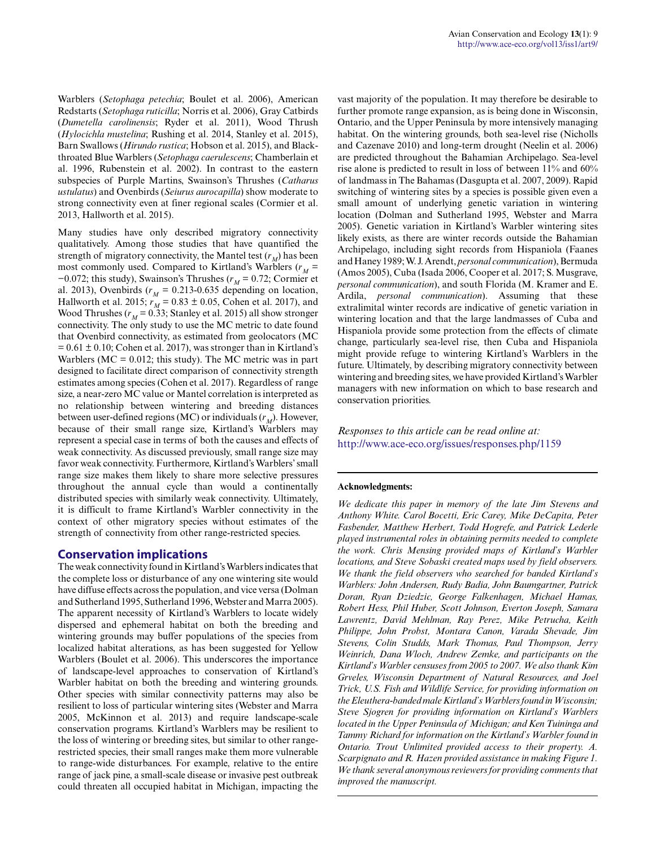Warblers (*Setophaga petechia*; Boulet et al. 2006), American Redstarts (*Setophaga ruticilla*; Norris et al. 2006), Gray Catbirds (*Dumetella carolinensis*; Ryder et al. 2011), Wood Thrush (*Hylocichla mustelina*; Rushing et al. 2014, Stanley et al. 2015), Barn Swallows (*Hirundo rustica*; Hobson et al. 2015), and Blackthroated Blue Warblers (*Setophaga caerulescens*; Chamberlain et al. 1996, Rubenstein et al. 2002). In contrast to the eastern subspecies of Purple Martins, Swainson's Thrushes (*Catharus ustulatus*) and Ovenbirds (*Seiurus aurocapilla*) show moderate to strong connectivity even at finer regional scales (Cormier et al. 2013, Hallworth et al. 2015).

Many studies have only described migratory connectivity qualitatively. Among those studies that have quantified the strength of migratory connectivity, the Mantel test  $(r_M)$  has been most commonly used. Compared to Kirtland's Warblers ( $r_M$  = −0.072; this study), Swainson's Thrushes ( $r_M$  = 0.72; Cormier et al. 2013), Ovenbirds ( $r_M$  = 0.213-0.635 depending on location, Hallworth et al. 2015;  $r_M = 0.83 \pm 0.05$ , Cohen et al. 2017), and Wood Thrushes ( $r_M$  = 0.33; Stanley et al. 2015) all show stronger connectivity. The only study to use the MC metric to date found that Ovenbird connectivity, as estimated from geolocators (MC  $= 0.61 \pm 0.10$ ; Cohen et al. 2017), was stronger than in Kirtland's Warblers ( $MC = 0.012$ ; this study). The MC metric was in part designed to facilitate direct comparison of connectivity strength estimates among species (Cohen et al. 2017). Regardless of range size, a near-zero MC value or Mantel correlation is interpreted as no relationship between wintering and breeding distances between user-defined regions (MC) or individuals  $(r_M)$ . However, because of their small range size, Kirtland's Warblers may represent a special case in terms of both the causes and effects of weak connectivity. As discussed previously, small range size may favor weak connectivity. Furthermore, Kirtland's Warblers' small range size makes them likely to share more selective pressures throughout the annual cycle than would a continentally distributed species with similarly weak connectivity. Ultimately, it is difficult to frame Kirtland's Warbler connectivity in the context of other migratory species without estimates of the strength of connectivity from other range-restricted species.

#### **Conservation implications**

The weak connectivity found in Kirtland's Warblers indicates that the complete loss or disturbance of any one wintering site would have diffuse effects across the population, and vice versa (Dolman and Sutherland 1995, Sutherland 1996, Webster and Marra 2005). The apparent necessity of Kirtland's Warblers to locate widely dispersed and ephemeral habitat on both the breeding and wintering grounds may buffer populations of the species from localized habitat alterations, as has been suggested for Yellow Warblers (Boulet et al. 2006). This underscores the importance of landscape-level approaches to conservation of Kirtland's Warbler habitat on both the breeding and wintering grounds. Other species with similar connectivity patterns may also be resilient to loss of particular wintering sites (Webster and Marra 2005, McKinnon et al. 2013) and require landscape-scale conservation programs. Kirtland's Warblers may be resilient to the loss of wintering or breeding sites, but similar to other rangerestricted species, their small ranges make them more vulnerable to range-wide disturbances. For example, relative to the entire range of jack pine, a small-scale disease or invasive pest outbreak could threaten all occupied habitat in Michigan, impacting the vast majority of the population. It may therefore be desirable to further promote range expansion, as is being done in Wisconsin, Ontario, and the Upper Peninsula by more intensively managing habitat. On the wintering grounds, both sea-level rise (Nicholls and Cazenave 2010) and long-term drought (Neelin et al. 2006) are predicted throughout the Bahamian Archipelago. Sea-level rise alone is predicted to result in loss of between 11% and 60% of landmass in The Bahamas (Dasgupta et al. 2007, 2009). Rapid switching of wintering sites by a species is possible given even a small amount of underlying genetic variation in wintering location (Dolman and Sutherland 1995, Webster and Marra 2005). Genetic variation in Kirtland's Warbler wintering sites likely exists, as there are winter records outside the Bahamian Archipelago, including sight records from Hispaniola (Faanes and Haney 1989; W. J. Arendt, *personal communication*), Bermuda (Amos 2005), Cuba (Isada 2006, Cooper et al. 2017; S. Musgrave, *personal communication*), and south Florida (M. Kramer and E. Ardila, *personal communication*). Assuming that these extralimital winter records are indicative of genetic variation in wintering location and that the large landmasses of Cuba and Hispaniola provide some protection from the effects of climate change, particularly sea-level rise, then Cuba and Hispaniola might provide refuge to wintering Kirtland's Warblers in the future. Ultimately, by describing migratory connectivity between wintering and breeding sites, we have provided Kirtland's Warbler managers with new information on which to base research and conservation priorities.

#### *Responses to this article can be read online at:* <http://www.ace-eco.org/issues/responses.php/1159>

#### **Acknowledgments:**

*We dedicate this paper in memory of the late Jim Stevens and Anthony White. Carol Bocetti, Eric Carey, Mike DeCapita, Peter Fasbender, Matthew Herbert, Todd Hogrefe, and Patrick Lederle played instrumental roles in obtaining permits needed to complete the work. Chris Mensing provided maps of Kirtland's Warbler locations, and Steve Sobaski created maps used by field observers. We thank the field observers who searched for banded Kirtland's Warblers: John Andersen, Rudy Badia, John Baumgartner, Patrick Doran, Ryan Dziedzic, George Falkenhagen, Michael Hamas, Robert Hess, Phil Huber, Scott Johnson, Everton Joseph, Samara Lawrentz, David Mehlman, Ray Perez, Mike Petrucha, Keith Philippe, John Probst, Montara Canon, Varada Shevade, Jim Stevens, Colin Studds, Mark Thomas, Paul Thompson, Jerry Weinrich, Dana Wloch, Andrew Zemke, and participants on the Kirtland's Warbler censuses from 2005 to 2007. We also thank Kim Grveles, Wisconsin Department of Natural Resources, and Joel Trick, U.S. Fish and Wildlife Service, for providing information on the Eleuthera-banded male Kirtland's Warblers found in Wisconsin; Steve Sjogren for providing information on Kirtland's Warblers located in the Upper Peninsula of Michigan; and Ken Tuininga and Tammy Richard for information on the Kirtland's Warbler found in Ontario. Trout Unlimited provided access to their property. A. Scarpignato and R. Hazen provided assistance in making Figure 1. We thank several anonymous reviewers for providing comments that improved the manuscript.*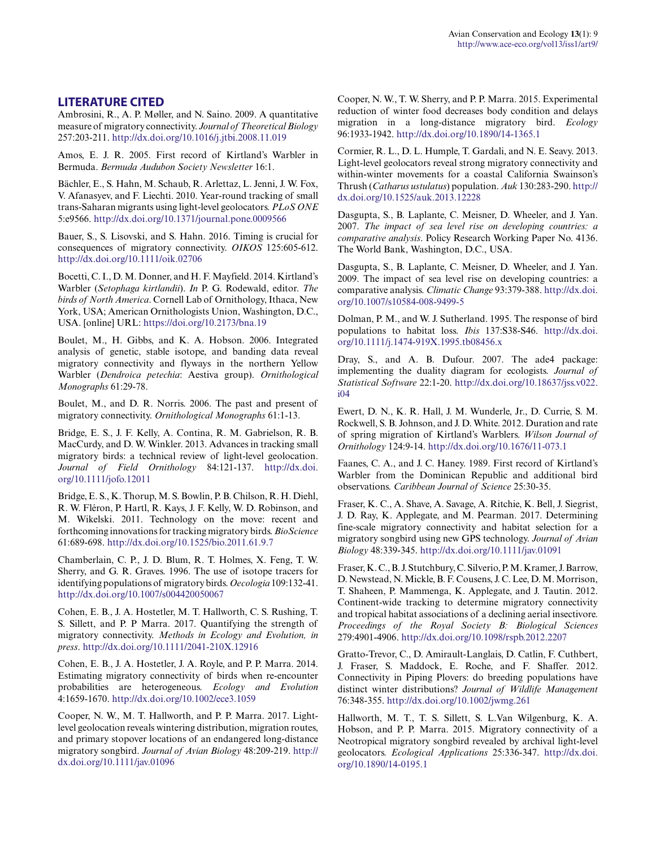## **LITERATURE CITED**

Ambrosini, R., A. P. Møller, and N. Saino. 2009. A quantitative measure of migratory connectivity. *Journal of Theoretical Biology* 257:203-211. [http://dx.doi.org/10.1016/j.jtbi.2008.11.019](http://dx.doi.org/10.1016%2Fj.jtbi.2008.11.019)

Amos, E. J. R. 2005. First record of Kirtland's Warbler in Bermuda. *Bermuda Audubon Society Newsletter* 16:1.

Bächler, E., S. Hahn, M. Schaub, R. Arlettaz, L. Jenni, J. W. Fox, V. Afanasyev, and F. Liechti. 2010. Year-round tracking of small trans-Saharan migrants using light-level geolocators. *PLoS ONE* 5:e9566. [http://dx.doi.org/10.1371/journal.pone.0009566](http://dx.doi.org/10.1371%2Fjournal.pone.0009566)

Bauer, S., S. Lisovski, and S. Hahn. 2016. Timing is crucial for consequences of migratory connectivity. *OIKOS* 125:605-612. [http://dx.doi.org/10.1111/oik.02706](http://dx.doi.org/10.1111%2Foik.02706) 

Bocetti, C. I., D. M. Donner, and H. F. Mayfield. 2014. Kirtland's Warbler (*Setophaga kirtlandii*). *In* P. G. Rodewald, editor. *The birds of North America*. Cornell Lab of Ornithology, Ithaca, New York, USA; American Ornithologists Union, Washington, D.C., USA. [online] URL: <https://doi.org/10.2173/bna.19>

Boulet, M., H. Gibbs, and K. A. Hobson. 2006. Integrated analysis of genetic, stable isotope, and banding data reveal migratory connectivity and flyways in the northern Yellow Warbler (*Dendroica petechia*: Aestiva group). *Ornithological Monographs* 61:29-78.

Boulet, M., and D. R. Norris. 2006. The past and present of migratory connectivity. *Ornithological Monographs* 61:1-13.

Bridge, E. S., J. F. Kelly, A. Contina, R. M. Gabrielson, R. B. MacCurdy, and D. W. Winkler. 2013. Advances in tracking small migratory birds: a technical review of light-level geolocation. *Journal of Field Ornithology* 84:121-137. [http://dx.doi.](http://dx.doi.org/10.1111%2Fjofo.12011) [org/10.1111/jofo.12011](http://dx.doi.org/10.1111%2Fjofo.12011) 

Bridge, E. S., K. Thorup, M. S. Bowlin, P. B. Chilson, R. H. Diehl, R. W. Fléron, P. Hartl, R. Kays, J. F. Kelly, W. D. Robinson, and M. Wikelski. 2011. Technology on the move: recent and forthcoming innovations for tracking migratory birds. *BioScience* 61:689-698. [http://dx.doi.org/10.1525/bio.2011.61.9.7](http://dx.doi.org/10.1525%2Fbio.2011.61.9.7)

Chamberlain, C. P., J. D. Blum, R. T. Holmes, X. Feng, T. W. Sherry, and G. R. Graves. 1996. The use of isotope tracers for identifying populations of migratory birds. *Oecologia* 109:132-41. [http://dx.doi.org/10.1007/s004420050067](http://dx.doi.org/10.1007%2Fs004420050067) 

Cohen, E. B., J. A. Hostetler, M. T. Hallworth, C. S. Rushing, T. S. Sillett, and P. P Marra. 2017. Quantifying the strength of migratory connectivity. *Methods in Ecology and Evolution, in press*. [http://dx.doi.org/10.1111/2041-210X.12916](http://dx.doi.org/10.1111%2F2041-210X.12916) 

Cohen, E. B., J. A. Hostetler, J. A. Royle, and P. P. Marra. 2014. Estimating migratory connectivity of birds when re-encounter probabilities are heterogeneous. *Ecology and Evolution* 4:1659-1670. [http://dx.doi.org/10.1002/ece3.1059](http://dx.doi.org/10.1002%2Fece3.1059) 

Cooper, N. W., M. T. Hallworth, and P. P. Marra. 2017. Lightlevel geolocation reveals wintering distribution, migration routes, and primary stopover locations of an endangered long-distance migratory songbird. *Journal of Avian Biology* 48:209-219. [http://](http://dx.doi.org/10.1111%2Fjav.01096) [dx.doi.org/10.1111/jav.01096](http://dx.doi.org/10.1111%2Fjav.01096) 

Cooper, N. W., T. W. Sherry, and P. P. Marra. 2015. Experimental reduction of winter food decreases body condition and delays migration in a long-distance migratory bird. *Ecology* 96:1933-1942. [http://dx.doi.org/10.1890/14-1365.1](http://dx.doi.org/10.1890%2F14-1365.1)

Cormier, R. L., D. L. Humple, T. Gardali, and N. E. Seavy. 2013. Light-level geolocators reveal strong migratory connectivity and within-winter movements for a coastal California Swainson's Thrush (*Catharus ustulatus*) population. *Auk* 130:283-290. [http://](http://dx.doi.org/10.1525%2Fauk.2013.12228) [dx.doi.org/10.1525/auk.2013.12228](http://dx.doi.org/10.1525%2Fauk.2013.12228) 

Dasgupta, S., B. Laplante, C. Meisner, D. Wheeler, and J. Yan. 2007. *The impact of sea level rise on developing countries: a comparative analysis*. Policy Research Working Paper No. 4136. The World Bank, Washington, D.C., USA.

Dasgupta, S., B. Laplante, C. Meisner, D. Wheeler, and J. Yan. 2009. The impact of sea level rise on developing countries: a comparative analysis. *Climatic Change* 93:379-388. [http://dx.doi.](http://dx.doi.org/10.1007%2Fs10584-008-9499-5) [org/10.1007/s10584-008-9499-5](http://dx.doi.org/10.1007%2Fs10584-008-9499-5)

Dolman, P. M., and W. J. Sutherland. 1995. The response of bird populations to habitat loss. *Ibis* 137:S38-S46. [http://dx.doi.](http://dx.doi.org/10.1111%2Fj.1474-919X.1995.tb08456.x) [org/10.1111/j.1474-919X.1995.tb08456.x](http://dx.doi.org/10.1111%2Fj.1474-919X.1995.tb08456.x) 

Dray, S., and A. B. Dufour. 2007. The ade4 package: implementing the duality diagram for ecologists. *Journal of Statistical Software* 22:1-20. [http://dx.doi.org/10.18637/jss.v022.](http://dx.doi.org/10.18637%2Fjss.v022.i04)  $i<sub>04</sub>$ 

Ewert, D. N., K. R. Hall, J. M. Wunderle, Jr., D. Currie, S. M. Rockwell, S. B. Johnson, and J. D. White. 2012. Duration and rate of spring migration of Kirtland's Warblers. *Wilson Journal of Ornithology* 124:9-14. [http://dx.doi.org/10.1676/11-073.1](http://dx.doi.org/10.1676%2F11-073.1)

Faanes, C. A., and J. C. Haney. 1989. First record of Kirtland's Warbler from the Dominican Republic and additional bird observations. *Caribbean Journal of Science* 25:30-35.

Fraser, K. C., A. Shave, A. Savage, A. Ritchie, K. Bell, J. Siegrist, J. D. Ray, K. Applegate, and M. Pearman. 2017. Determining fine-scale migratory connectivity and habitat selection for a migratory songbird using new GPS technology. *Journal of Avian Biology* 48:339-345. [http://dx.doi.org/10.1111/jav.01091](http://dx.doi.org/10.1111%2Fjav.01091)

Fraser, K. C., B. J. Stutchbury, C. Silverio, P. M. Kramer, J. Barrow, D. Newstead, N. Mickle, B. F. Cousens, J. C. Lee, D. M. Morrison, T. Shaheen, P. Mammenga, K. Applegate, and J. Tautin. 2012. Continent-wide tracking to determine migratory connectivity and tropical habitat associations of a declining aerial insectivore. *Proceedings of the Royal Society B: Biological Sciences* 279:4901-4906. [http://dx.doi.org/10.1098/rspb.2012.2207](http://dx.doi.org/10.1098%2Frspb.2012.2207)

Gratto-Trevor, C., D. Amirault-Langlais, D. Catlin, F. Cuthbert, J. Fraser, S. Maddock, E. Roche, and F. Shaffer. 2012. Connectivity in Piping Plovers: do breeding populations have distinct winter distributions? *Journal of Wildlife Management* 76:348-355. [http://dx.doi.org/10.1002/jwmg.261](http://dx.doi.org/10.1002%2Fjwmg.261)

Hallworth, M. T., T. S. Sillett, S. L.Van Wilgenburg, K. A. Hobson, and P. P. Marra. 2015. Migratory connectivity of a Neotropical migratory songbird revealed by archival light-level geolocators. *Ecological Applications* 25:336-347. [http://dx.doi.](http://dx.doi.org/10.1890%2F14-0195.1) [org/10.1890/14-0195.1](http://dx.doi.org/10.1890%2F14-0195.1)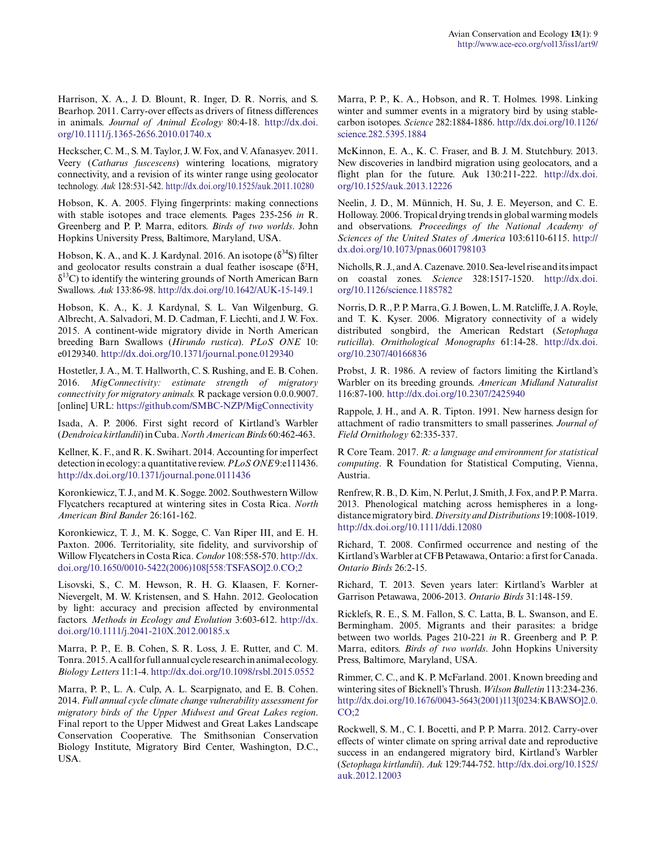Harrison, X. A., J. D. Blount, R. Inger, D. R. Norris, and S. Bearhop. 2011. Carry-over effects as drivers of fitness differences in animals. *Journal of Animal Ecology* 80:4-18. [http://dx.doi.](http://dx.doi.org/10.1111%2Fj.1365-2656.2010.01740.x) [org/10.1111/j.1365-2656.2010.01740.x](http://dx.doi.org/10.1111%2Fj.1365-2656.2010.01740.x)

Heckscher, C. M., S. M. Taylor, J. W. Fox, and V. Afanasyev. 2011. Veery (*Catharus fuscescens*) wintering locations, migratory connectivity, and a revision of its winter range using geolocator technology. *Auk* 128:531-542. [http://dx.doi.org/10.1525/auk.2011.10280](http://dx.doi.org/10.1525%2Fauk.2011.10280)

Hobson, K. A. 2005. Flying fingerprints: making connections with stable isotopes and trace elements. Pages 235-256 *in* R. Greenberg and P. P. Marra, editors. *Birds of two worlds*. John Hopkins University Press, Baltimore, Maryland, USA.

Hobson, K. A., and K. J. Kardynal. 2016. An isotope  $(\delta^{34}S)$  filter and geolocator results constrain a dual feather isoscape (δ²H,  $\delta^{13}$ C) to identify the wintering grounds of North American Barn Swallows. *Auk* 133:86-98. [http://dx.doi.org/10.1642/AUK-15-149.1](http://dx.doi.org/10.1642%2FAUK-15-149.1) 

Hobson, K. A., K. J. Kardynal, S. L. Van Wilgenburg, G. Albrecht, A. Salvadori, M. D. Cadman, F. Liechti, and J. W. Fox. 2015. A continent-wide migratory divide in North American breeding Barn Swallows (*Hirundo rustica*). *PLoS ONE* 10: e0129340. [http://dx.doi.org/10.1371/journal.pone.0129340](http://dx.doi.org/10.1371%2Fjournal.pone.0129340) 

Hostetler, J. A., M. T. Hallworth, C. S. Rushing, and E. B. Cohen. 2016. *MigConnectivity: estimate strength of migratory connectivity for migratory animals.* R package version 0.0.0.9007. [online] URL: https://github.com/SMBC-NZP/MigConnectivity

Isada, A. P. 2006. First sight record of Kirtland's Warbler (*Dendroica kirtlandii*) in Cuba. *North American Birds* 60:462-463.

Kellner, K. F., and R. K. Swihart. 2014. Accounting for imperfect detection in ecology: a quantitative review. *PLoS ONE* 9:e111436. [http://dx.doi.org/10.1371/journal.pone.0111436](http://dx.doi.org/10.1371%2Fjournal.pone.0111436) 

Koronkiewicz, T. J., and M. K. Sogge. 2002. Southwestern Willow Flycatchers recaptured at wintering sites in Costa Rica. *North American Bird Bander* 26:161-162.

Koronkiewicz, T. J., M. K. Sogge, C. Van Riper III, and E. H. Paxton. 2006. Territoriality, site fidelity, and survivorship of Willow Flycatchers in Costa Rica. *Condor* 108:558-570. [http://dx.](http://dx.doi.org/10.1650%2F0010-5422%282006%29108%5B558%3ATSFASO%5D2.0.CO%3B2) [doi.org/10.1650/0010-5422\(2006\)108\[558:TSFASO\]2.0.CO;2](http://dx.doi.org/10.1650%2F0010-5422%282006%29108%5B558%3ATSFASO%5D2.0.CO%3B2)

Lisovski, S., C. M. Hewson, R. H. G. Klaasen, F. Korner-Nievergelt, M. W. Kristensen, and S. Hahn. 2012. Geolocation by light: accuracy and precision affected by environmental factors. *Methods in Ecology and Evolution* 3:603-612. [http://dx.](http://dx.doi.org/10.1111%2Fj.2041-210X.2012.00185.x) [doi.org/10.1111/j.2041-210X.2012.00185.x](http://dx.doi.org/10.1111%2Fj.2041-210X.2012.00185.x) 

Marra, P. P., E. B. Cohen, S. R. Loss, J. E. Rutter, and C. M. Tonra. 2015. A call for full annual cycle research in animal ecology. *Biology Letters* 11:1-4. [http://dx.doi.org/10.1098/rsbl.2015.0552](http://dx.doi.org/10.1098%2Frsbl.2015.0552)

Marra, P. P., L. A. Culp, A. L. Scarpignato, and E. B. Cohen. 2014. *Full annual cycle climate change vulnerability assessment for migratory birds of the Upper Midwest and Great Lakes region*. Final report to the Upper Midwest and Great Lakes Landscape Conservation Cooperative. The Smithsonian Conservation Biology Institute, Migratory Bird Center, Washington, D.C., USA.

Marra, P. P., K. A., Hobson, and R. T. Holmes. 1998. Linking winter and summer events in a migratory bird by using stablecarbon isotopes. *Science* 282:1884-1886. [http://dx.doi.org/10.1126/](http://dx.doi.org/10.1126%2Fscience.282.5395.1884) [science.282.5395.1884](http://dx.doi.org/10.1126%2Fscience.282.5395.1884) 

McKinnon, E. A., K. C. Fraser, and B. J. M. Stutchbury. 2013. New discoveries in landbird migration using geolocators, and a flight plan for the future. Auk 130:211-222. [http://dx.doi.](http://dx.doi.org/10.1525%2Fauk.2013.12226) [org/10.1525/auk.2013.12226](http://dx.doi.org/10.1525%2Fauk.2013.12226)

Neelin, J. D., M. Münnich, H. Su, J. E. Meyerson, and C. E. Holloway. 2006. Tropical drying trends in global warming models and observations. *Proceedings of the National Academy of Sciences of the United States of America* 103:6110-6115. [http://](http://dx.doi.org/10.1073%2Fpnas.0601798103) [dx.doi.org/10.1073/pnas.0601798103](http://dx.doi.org/10.1073%2Fpnas.0601798103) 

Nicholls, R. J., and A. Cazenave. 2010. Sea-level rise and its impact on coastal zones. *Science* 328:1517-1520. [http://dx.doi.](http://dx.doi.org/10.1126%2Fscience.1185782) [org/10.1126/science.1185782](http://dx.doi.org/10.1126%2Fscience.1185782)

Norris, D. R., P. P. Marra, G. J. Bowen, L. M. Ratcliffe, J. A. Royle, and T. K. Kyser. 2006. Migratory connectivity of a widely distributed songbird, the American Redstart (*Setophaga ruticilla*). *Ornithological Monographs* 61:14-28. [http://dx.doi.](http://dx.doi.org/10.2307%2F40166836) [org/10.2307/40166836](http://dx.doi.org/10.2307%2F40166836)

Probst, J. R. 1986. A review of factors limiting the Kirtland's Warbler on its breeding grounds. *American Midland Naturalist* 116:87-100. [http://dx.doi.org/10.2307/2425940](http://dx.doi.org/10.2307%2F2425940) 

Rappole, J. H., and A. R. Tipton. 1991. New harness design for attachment of radio transmitters to small passerines. *Journal of Field Ornithology* 62:335-337.

R Core Team. 2017. *R: a language and environment for statistical computing*. R Foundation for Statistical Computing, Vienna, Austria.

Renfrew, R. B., D. Kim, N. Perlut, J. Smith, J. Fox, and P. P. Marra. 2013. Phenological matching across hemispheres in a longdistance migratory bird. *Diversity and Distributions* 19:1008-1019. [http://dx.doi.org/10.1111/ddi.12080](http://dx.doi.org/10.1111%2Fddi.12080) 

Richard, T. 2008. Confirmed occurrence and nesting of the Kirtland's Warbler at CFB Petawawa, Ontario: a first for Canada. *Ontario Birds* 26:2-15.

Richard, T. 2013. Seven years later: Kirtland's Warbler at Garrison Petawawa, 2006-2013. *Ontario Birds* 31:148-159.

Ricklefs, R. E., S. M. Fallon, S. C. Latta, B. L. Swanson, and E. Bermingham. 2005. Migrants and their parasites: a bridge between two worlds. Pages 210-221 *in* R. Greenberg and P. P. Marra, editors. *Birds of two worlds*. John Hopkins University Press, Baltimore, Maryland, USA.

Rimmer, C. C., and K. P. McFarland. 2001. Known breeding and wintering sites of Bicknell's Thrush. *Wilson Bulletin* 113:234-236. [http://dx.doi.org/10.1676/0043-5643\(2001\)113\[0234:KBAWSO\]2.0.](http://dx.doi.org/10.1676%2F0043-5643%282001%29113%5B0234%3AKBAWSO%5D2.0.CO%3B2)  $CO:2$ 

Rockwell, S. M., C. I. Bocetti, and P. P. Marra. 2012. Carry-over effects of winter climate on spring arrival date and reproductive success in an endangered migratory bird, Kirtland's Warbler (*Setophaga kirtlandii*). *Auk* 129:744-752. [http://dx.doi.org/10.1525/](http://dx.doi.org/10.1525%2Fauk.2012.12003) [auk.2012.12003](http://dx.doi.org/10.1525%2Fauk.2012.12003)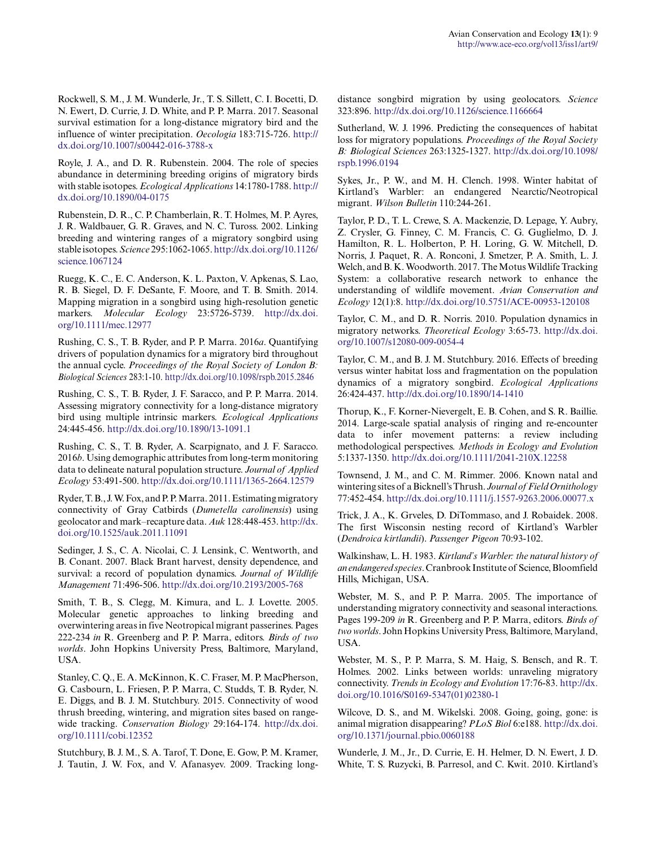Rockwell, S. M., J. M. Wunderle, Jr., T. S. Sillett, C. I. Bocetti, D. N. Ewert, D. Currie, J. D. White, and P. P. Marra. 2017. Seasonal survival estimation for a long-distance migratory bird and the influence of winter precipitation. *Oecologia* 183:715-726. [http://](http://dx.doi.org/10.1007%2Fs00442-016-3788-x) [dx.doi.org/10.1007/s00442-016-3788-x](http://dx.doi.org/10.1007%2Fs00442-016-3788-x) 

Royle, J. A., and D. R. Rubenstein. 2004. The role of species abundance in determining breeding origins of migratory birds with stable isotopes. *Ecological Applications* 14:1780-1788. [http://](http://dx.doi.org/10.1890%2F04-0175) [dx.doi.org/10.1890/04-0175](http://dx.doi.org/10.1890%2F04-0175) 

Rubenstein, D. R., C. P. Chamberlain, R. T. Holmes, M. P. Ayres, J. R. Waldbauer, G. R. Graves, and N. C. Tuross. 2002. Linking breeding and wintering ranges of a migratory songbird using stable isotopes. *Science* 295:1062-1065. [http://dx.doi.org/10.1126/](http://dx.doi.org/10.1126%2Fscience.1067124) [science.1067124](http://dx.doi.org/10.1126%2Fscience.1067124)

Ruegg, K. C., E. C. Anderson, K. L. Paxton, V. Apkenas, S. Lao, R. B. Siegel, D. F. DeSante, F. Moore, and T. B. Smith. 2014. Mapping migration in a songbird using high-resolution genetic markers. *Molecular Ecology* 23:5726-5739. [http://dx.doi.](http://dx.doi.org/10.1111%2Fmec.12977) [org/10.1111/mec.12977](http://dx.doi.org/10.1111%2Fmec.12977)

Rushing, C. S., T. B. Ryder, and P. P. Marra. 2016*a*. Quantifying drivers of population dynamics for a migratory bird throughout the annual cycle. *Proceedings of the Royal Society of London B: Biological Sciences* 283:1-10. [http://dx.doi.org/10.1098/rspb.2015.2846](http://dx.doi.org/10.1098%2Frspb.2015.2846) 

Rushing, C. S., T. B. Ryder, J. F. Saracco, and P. P. Marra. 2014. Assessing migratory connectivity for a long-distance migratory bird using multiple intrinsic markers. *Ecological Applications* 24:445-456. [http://dx.doi.org/10.1890/13-1091.1](http://dx.doi.org/10.1890%2F13-1091.1)

Rushing, C. S., T. B. Ryder, A. Scarpignato, and J. F. Saracco. 2016*b*. Using demographic attributes from long-term monitoring data to delineate natural population structure. *Journal of Applied Ecology* 53:491-500. [http://dx.doi.org/10.1111/1365-2664.12579](http://dx.doi.org/10.1111%2F1365-2664.12579)

Ryder, T. B., J. W. Fox, and P. P. Marra. 2011. Estimating migratory connectivity of Gray Catbirds (*Dumetella carolinensis*) using geolocator and mark–recapture data. *Auk* 128:448-453. [http://dx.](http://dx.doi.org/10.1525%2Fauk.2011.11091) [doi.org/10.1525/auk.2011.11091](http://dx.doi.org/10.1525%2Fauk.2011.11091) 

Sedinger, J. S., C. A. Nicolai, C. J. Lensink, C. Wentworth, and B. Conant. 2007. Black Brant harvest, density dependence, and survival: a record of population dynamics. *Journal of Wildlife Management* 71:496-506. [http://dx.doi.org/10.2193/2005-768](http://dx.doi.org/10.2193%2F2005-768)

Smith, T. B., S. Clegg, M. Kimura, and L. J. Lovette. 2005. Molecular genetic approaches to linking breeding and overwintering areas in five Neotropical migrant passerines. Pages 222-234 *in* R. Greenberg and P. P. Marra, editors. *Birds of two worlds*. John Hopkins University Press, Baltimore, Maryland, USA.

Stanley, C. Q., E. A. McKinnon, K. C. Fraser, M. P. MacPherson, G. Casbourn, L. Friesen, P. P. Marra, C. Studds, T. B. Ryder, N. E. Diggs, and B. J. M. Stutchbury. 2015. Connectivity of wood thrush breeding, wintering, and migration sites based on rangewide tracking. *Conservation Biology* 29:164-174. [http://dx.doi.](http://dx.doi.org/10.1111%2Fcobi.12352) [org/10.1111/cobi.12352](http://dx.doi.org/10.1111%2Fcobi.12352)

Stutchbury, B. J. M., S. A. Tarof, T. Done, E. Gow, P. M. Kramer, J. Tautin, J. W. Fox, and V. Afanasyev. 2009. Tracking longdistance songbird migration by using geolocators. *Science* 323:896. [http://dx.doi.org/10.1126/science.1166664](http://dx.doi.org/10.1126%2Fscience.1166664) 

Sutherland, W. J. 1996. Predicting the consequences of habitat loss for migratory populations. *Proceedings of the Royal Society B: Biological Sciences* 263:1325-1327. [http://dx.doi.org/10.1098/](http://dx.doi.org/10.1098%2Frspb.1996.0194) [rspb.1996.0194](http://dx.doi.org/10.1098%2Frspb.1996.0194)

Sykes, Jr., P. W., and M. H. Clench. 1998. Winter habitat of Kirtland's Warbler: an endangered Nearctic/Neotropical migrant. *Wilson Bulletin* 110:244-261.

Taylor, P. D., T. L. Crewe, S. A. Mackenzie, D. Lepage, Y. Aubry, Z. Crysler, G. Finney, C. M. Francis, C. G. Guglielmo, D. J. Hamilton, R. L. Holberton, P. H. Loring, G. W. Mitchell, D. Norris, J. Paquet, R. A. Ronconi, J. Smetzer, P. A. Smith, L. J. Welch, and B. K. Woodworth. 2017. The Motus Wildlife Tracking System: a collaborative research network to enhance the understanding of wildlife movement. *Avian Conservation and Ecology* 12(1):8. [http://dx.doi.org/10.5751/ACE-00953-120108](http://dx.doi.org/10.5751%2FACE-00953-120108)

Taylor, C. M., and D. R. Norris. 2010. Population dynamics in migratory networks. *Theoretical Ecology* 3:65-73. [http://dx.doi.](http://dx.doi.org/10.1007%2Fs12080-009-0054-4) [org/10.1007/s12080-009-0054-4](http://dx.doi.org/10.1007%2Fs12080-009-0054-4)

Taylor, C. M., and B. J. M. Stutchbury. 2016. Effects of breeding versus winter habitat loss and fragmentation on the population dynamics of a migratory songbird. *Ecological Applications* 26:424-437. [http://dx.doi.org/10.1890/14-1410](http://dx.doi.org/10.1890%2F14-1410)

Thorup, K., F. Korner-Nievergelt, E. B. Cohen, and S. R. Baillie. 2014. Large-scale spatial analysis of ringing and re-encounter data to infer movement patterns: a review including methodological perspectives. *Methods in Ecology and Evolution* 5:1337-1350. [http://dx.doi.org/10.1111/2041-210X.12258](http://dx.doi.org/10.1111%2F2041-210X.12258)

Townsend, J. M., and C. M. Rimmer. 2006. Known natal and wintering sites of a Bicknell's Thrush. *Journal of Field Ornithology* 77:452-454. [http://dx.doi.org/10.1111/j.1557-9263.2006.00077.x](http://dx.doi.org/10.1111%2Fj.1557-9263.2006.00077.x)

Trick, J. A., K. Grveles, D. DiTommaso, and J. Robaidek. 2008. The first Wisconsin nesting record of Kirtland's Warbler (*Dendroica kirtlandii*). *Passenger Pigeon* 70:93-102.

Walkinshaw, L. H. 1983. *Kirtland's Warbler: the natural history of an endangered species*. Cranbrook Institute of Science, Bloomfield Hills, Michigan, USA.

Webster, M. S., and P. P. Marra. 2005. The importance of understanding migratory connectivity and seasonal interactions. Pages 199-209 *in* R. Greenberg and P. P. Marra, editors. *Birds of two worlds*. John Hopkins University Press, Baltimore, Maryland, USA.

Webster, M. S., P. P. Marra, S. M. Haig, S. Bensch, and R. T. Holmes. 2002. Links between worlds: unraveling migratory connectivity. *Trends in Ecology and Evolution* 17:76-83. [http://dx.](http://dx.doi.org/10.1016%2FS0169-5347%2801%2902380-1) [doi.org/10.1016/S0169-5347\(01\)02380-1](http://dx.doi.org/10.1016%2FS0169-5347%2801%2902380-1) 

Wilcove, D. S., and M. Wikelski. 2008. Going, going, gone: is animal migration disappearing? *PLoS Biol* 6:e188. [http://dx.doi.](http://dx.doi.org/10.1371%2Fjournal.pbio.0060188) [org/10.1371/journal.pbio.0060188](http://dx.doi.org/10.1371%2Fjournal.pbio.0060188)

Wunderle, J. M., Jr., D. Currie, E. H. Helmer, D. N. Ewert, J. D. White, T. S. Ruzycki, B. Parresol, and C. Kwit. 2010. Kirtland's